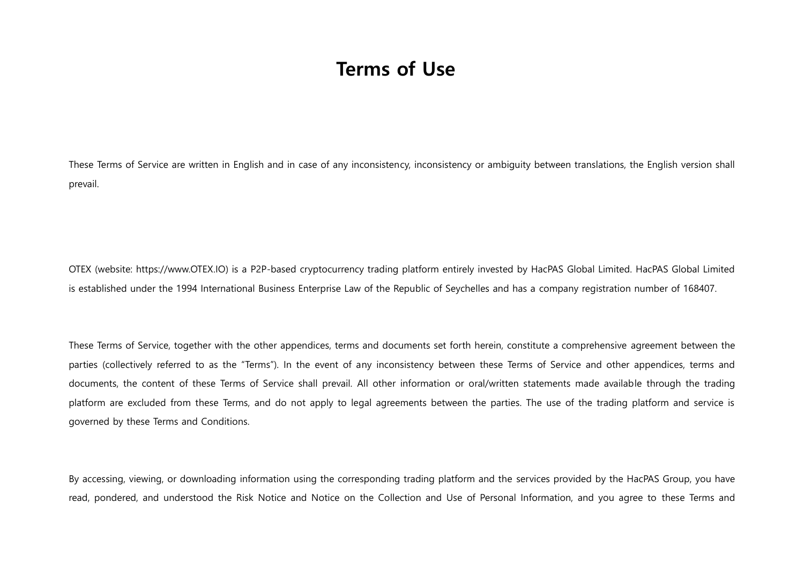## Terms of Use

These Terms of Service are written in English and in case of any inconsistency, inconsistency or ambiguity between translations, the English version shall prevail.

OTEX (website: https://www.OTEX.IO) is a P2P-based cryptocurrency trading platform entirely invested by HacPAS Global Limited. HacPAS Global Limited is established under the 1994 International Business Enterprise Law of the Republic of Seychelles and has a company registration number of 168407.

These Terms of Service, together with the other appendices, terms and documents set forth herein, constitute a comprehensive agreement between the parties (collectively referred to as the "Terms"). In the event of any inconsistency between these Terms of Service and other appendices, terms and documents, the content of these Terms of Service shall prevail. All other information or oral/written statements made available through the trading platform are excluded from these Terms, and do not apply to legal agreements between the parties. The use of the trading platform and service is governed by these Terms and Conditions.

By accessing, viewing, or downloading information using the corresponding trading platform and the services provided by the HacPAS Group, you have read, pondered, and understood the Risk Notice and Notice on the Collection and Use of Personal Information, and you agree to these Terms and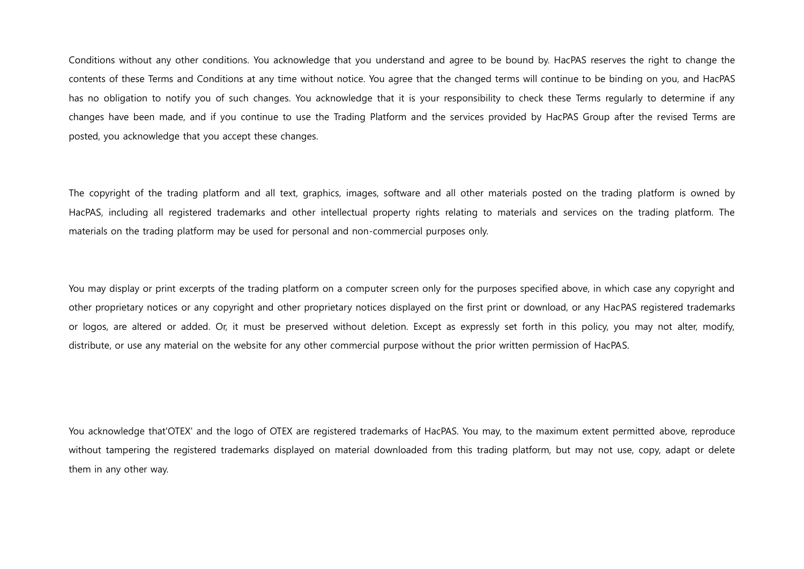Conditions without any other conditions. You acknowledge that you understand and agree to be bound by. HacPAS reserves the right to change the contents of these Terms and Conditions at any time without notice. You agree that the changed terms will continue to be binding on you, and HacPAS has no obligation to notify you of such changes. You acknowledge that it is your responsibility to check these Terms regularly to determine if any changes have been made, and if you continue to use the Trading Platform and the services provided by HacPAS Group after the revised Terms are posted, you acknowledge that you accept these changes.

The copyright of the trading platform and all text, graphics, images, software and all other materials posted on the trading platform is owned by HacPAS, including all registered trademarks and other intellectual property rights relating to materials and services on the trading platform. The materials on the trading platform may be used for personal and non-commercial purposes only.

You may display or print excerpts of the trading platform on a computer screen only for the purposes specified above, in which case any copyright and other proprietary notices or any copyright and other proprietary notices displayed on the first print or download, or any HacPAS registered trademarks or logos, are altered or added. Or, it must be preserved without deletion. Except as expressly set forth in this policy, you may not alter, modify, distribute, or use any material on the website for any other commercial purpose without the prior written permission of HacPAS.

You acknowledge that'OTEX' and the logo of OTEX are registered trademarks of HacPAS. You may, to the maximum extent permitted above, reproduce without tampering the registered trademarks displayed on material downloaded from this trading platform, but may not use, copy, adapt or delete them in any other way.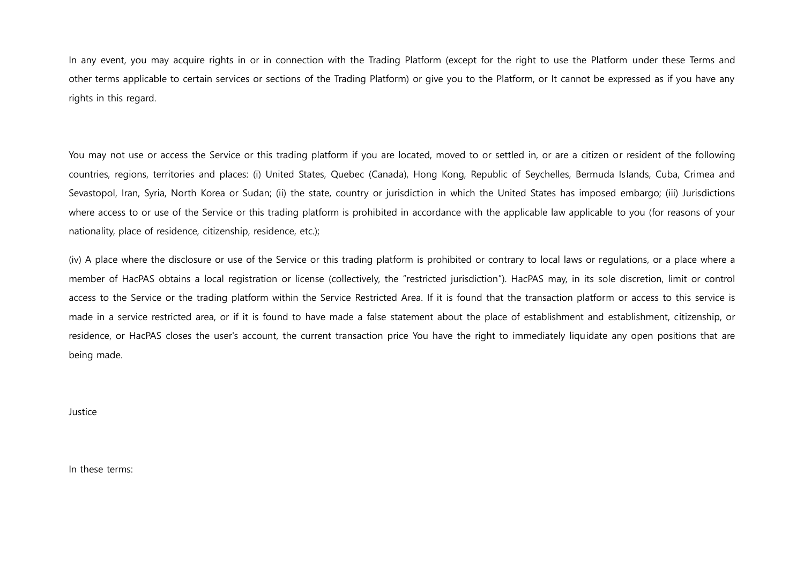In any event, you may acquire rights in or in connection with the Trading Platform (except for the right to use the Platform under these Terms and other terms applicable to certain services or sections of the Trading Platform) or give you to the Platform, or It cannot be expressed as if you have any rights in this regard.

You may not use or access the Service or this trading platform if you are located, moved to or settled in, or are a citizen or resident of the following countries, regions, territories and places: (i) United States, Quebec (Canada), Hong Kong, Republic of Seychelles, Bermuda Islands, Cuba, Crimea and Sevastopol, Iran, Syria, North Korea or Sudan; (ii) the state, country or jurisdiction in which the United States has imposed embargo; (iii) Jurisdictions where access to or use of the Service or this trading platform is prohibited in accordance with the applicable law applicable to you (for reasons of your nationality, place of residence, citizenship, residence, etc.);

(iv) A place where the disclosure or use of the Service or this trading platform is prohibited or contrary to local laws or regulations, or a place where a member of HacPAS obtains a local registration or license (collectively, the "restricted jurisdiction"). HacPAS may, in its sole discretion, limit or control access to the Service or the trading platform within the Service Restricted Area. If it is found that the transaction platform or access to this service is made in a service restricted area, or if it is found to have made a false statement about the place of establishment and establishment, citizenship, or residence, or HacPAS closes the user's account, the current transaction price You have the right to immediately liquidate any open positions that are being made.

Justice

In these terms: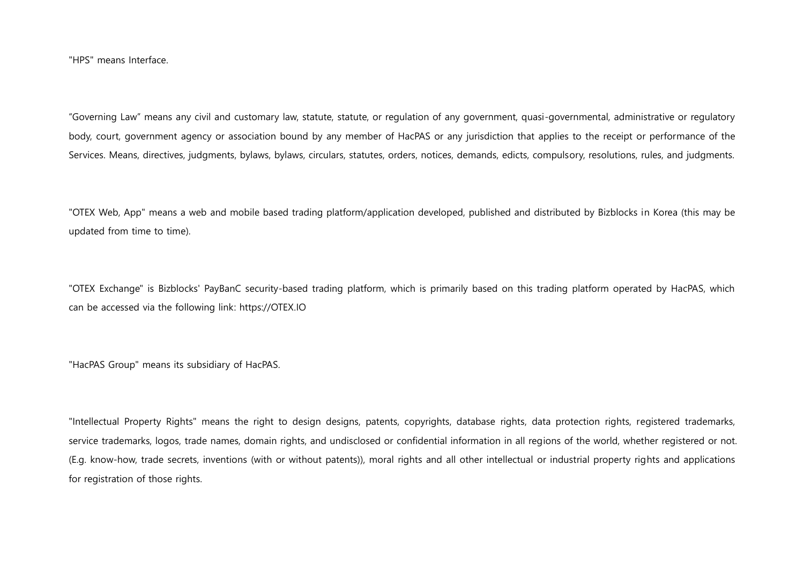"HPS" means Interface.

"Governing Law" means any civil and customary law, statute, statute, or regulation of any government, quasi-governmental, administrative or regulatory body, court, government agency or association bound by any member of HacPAS or any jurisdiction that applies to the receipt or performance of the Services. Means, directives, judgments, bylaws, bylaws, circulars, statutes, orders, notices, demands, edicts, compulsory, resolutions, rules, and judgments.

"OTEX Web, App" means a web and mobile based trading platform/application developed, published and distributed by Bizblocks in Korea (this may be updated from time to time).

"OTEX Exchange" is Bizblocks' PayBanC security-based trading platform, which is primarily based on this trading platform operated by HacPAS, which can be accessed via the following link: https://OTEX.IO

"HacPAS Group" means its subsidiary of HacPAS.

"Intellectual Property Rights" means the right to design designs, patents, copyrights, database rights, data protection rights, registered trademarks, service trademarks, logos, trade names, domain rights, and undisclosed or confidential information in all regions of the world, whether registered or not. (E.g. know-how, trade secrets, inventions (with or without patents)), moral rights and all other intellectual or industrial property rights and applications for registration of those rights.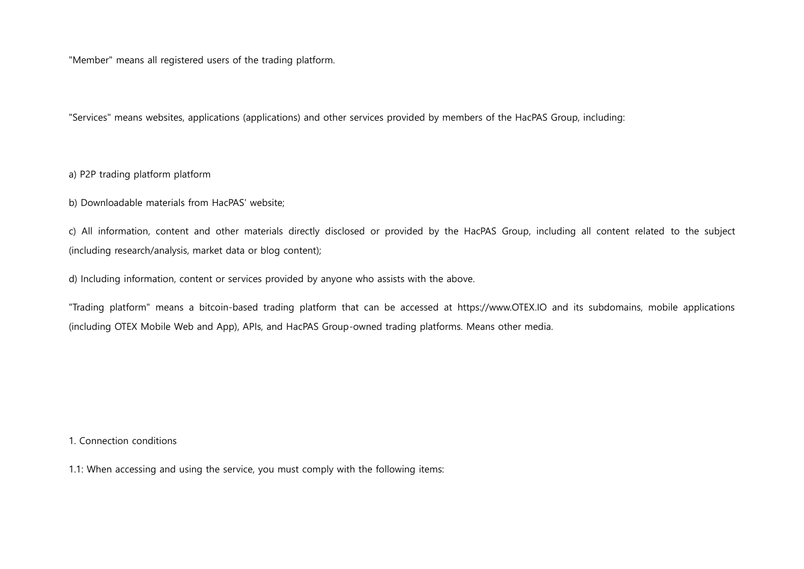"Member" means all registered users of the trading platform.

"Services" means websites, applications (applications) and other services provided by members of the HacPAS Group, including:

a) P2P trading platform platform

b) Downloadable materials from HacPAS' website;

c) All information, content and other materials directly disclosed or provided by the HacPAS Group, including all content related to the subject (including research/analysis, market data or blog content);

d) Including information, content or services provided by anyone who assists with the above.

"Trading platform" means a bitcoin-based trading platform that can be accessed at https://www.OTEX.IO and its subdomains, mobile applications (including OTEX Mobile Web and App), APIs, and HacPAS Group-owned trading platforms. Means other media.

1. Connection conditions

1.1: When accessing and using the service, you must comply with the following items: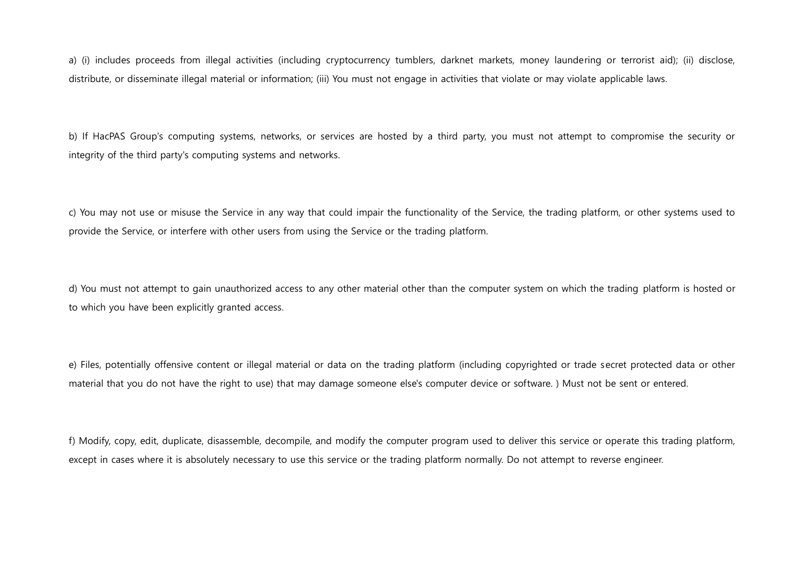a) (i) includes proceeds from illegal activities (including cryptocurrency tumblers, darknet markets, money laundering or terrorist aid); (ii) disclose, distribute, or disseminate illegal material or information; (iii) You must not engage in activities that violate or may violate applicable laws.

b) If HacPAS Group's computing systems, networks, or services are hosted by a third party, you must not attempt to compromise the security or integrity of the third party's computing systems and networks.

c) You may not use or misuse the Service in any way that could impair the functionality of the Service, the trading platform, or other systems used to provide the Service, or interfere with other users from using the Service or the trading platform.

d) You must not attempt to gain unauthorized access to any other material other than the computer system on which the trading platform is hosted or to which you have been explicitly granted access.

e) Files, potentially offensive content or illegal material or data on the trading platform (including copyrighted or trade secret protected data or other material that you do not have the right to use) that may damage someone else's computer device or software. ) Must not be sent or entered.

f) Modify, copy, edit, duplicate, disassemble, decompile, and modify the computer program used to deliver this service or operate this trading platform, except in cases where it is absolutely necessary to use this service or the trading platform normally. Do not attempt to reverse engineer.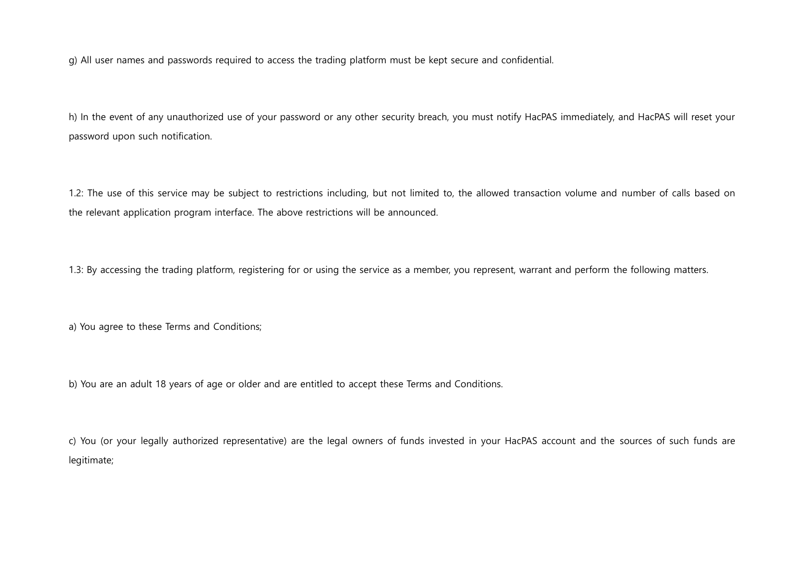g) All user names and passwords required to access the trading platform must be kept secure and confidential.

h) In the event of any unauthorized use of your password or any other security breach, you must notify HacPAS immediately, and HacPAS will reset your password upon such notification.

1.2: The use of this service may be subject to restrictions including, but not limited to, the allowed transaction volume and number of calls based on the relevant application program interface. The above restrictions will be announced.

1.3: By accessing the trading platform, registering for or using the service as a member, you represent, warrant and perform the following matters.

a) You agree to these Terms and Conditions;

b) You are an adult 18 years of age or older and are entitled to accept these Terms and Conditions.

c) You (or your legally authorized representative) are the legal owners of funds invested in your HacPAS account and the sources of such funds are legitimate;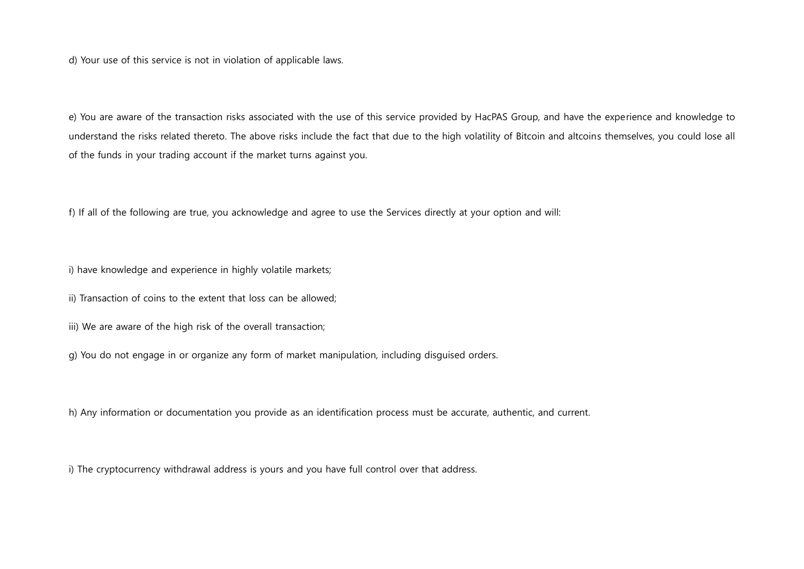d) Your use of this service is not in violation of applicable laws.

e) You are aware of the transaction risks associated with the use of this service provided by HacPAS Group, and have the experience and knowledge to understand the risks related thereto. The above risks include the fact that due to the high volatility of Bitcoin and altcoins themselves, you could lose all of the funds in your trading account if the market turns against you.

f) If all of the following are true, you acknowledge and agree to use the Services directly at your option and will:

i) have knowledge and experience in highly volatile markets;

ii) Transaction of coins to the extent that loss can be allowed;

iii) We are aware of the high risk of the overall transaction;

g) You do not engage in or organize any form of market manipulation, including disguised orders.

h) Any information or documentation you provide as an identification process must be accurate, authentic, and current.

i) The cryptocurrency withdrawal address is yours and you have full control over that address.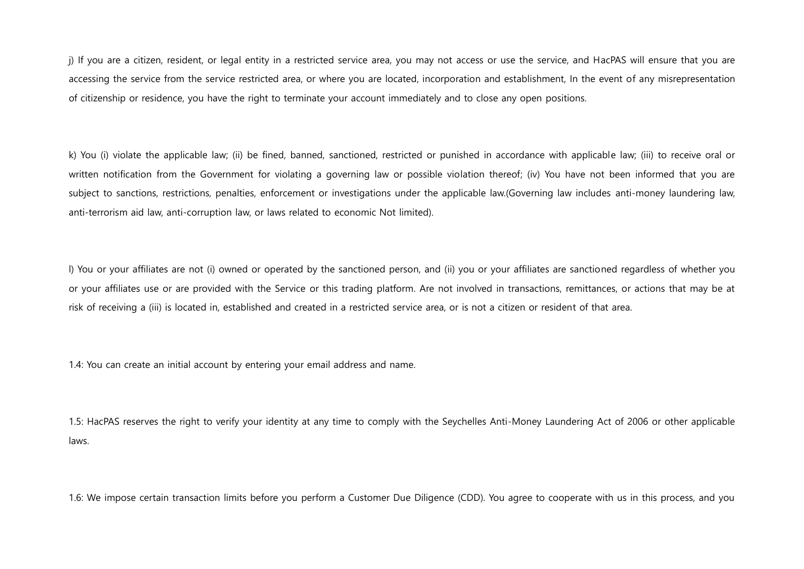j) If you are a citizen, resident, or legal entity in a restricted service area, you may not access or use the service, and HacPAS will ensure that you are accessing the service from the service restricted area, or where you are located, incorporation and establishment, In the event of any misrepresentation of citizenship or residence, you have the right to terminate your account immediately and to close any open positions.

k) You (i) violate the applicable law; (ii) be fined, banned, sanctioned, restricted or punished in accordance with applicable law; (iii) to receive oral or written notification from the Government for violating a governing law or possible violation thereof; (iv) You have not been informed that you are subject to sanctions, restrictions, penalties, enforcement or investigations under the applicable law.(Governing law includes anti-money laundering law, anti-terrorism aid law, anti-corruption law, or laws related to economic Not limited).

l) You or your affiliates are not (i) owned or operated by the sanctioned person, and (ii) you or your affiliates are sanctioned regardless of whether you or your affiliates use or are provided with the Service or this trading platform. Are not involved in transactions, remittances, or actions that may be at risk of receiving a (iii) is located in, established and created in a restricted service area, or is not a citizen or resident of that area.

1.4: You can create an initial account by entering your email address and name.

1.5: HacPAS reserves the right to verify your identity at any time to comply with the Seychelles Anti-Money Laundering Act of 2006 or other applicable laws.

1.6: We impose certain transaction limits before you perform a Customer Due Diligence (CDD). You agree to cooperate with us in this process, and you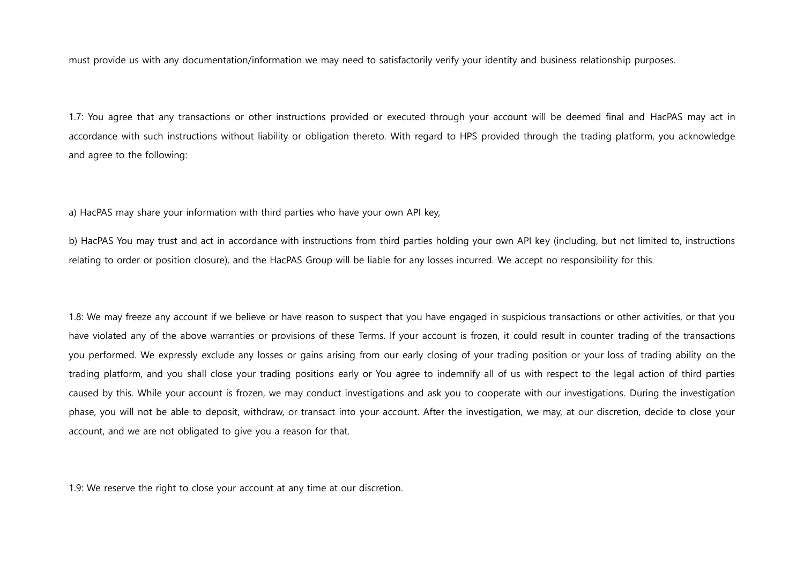must provide us with any documentation/information we may need to satisfactorily verify your identity and business relationship purposes.

1.7: You agree that any transactions or other instructions provided or executed through your account will be deemed final and HacPAS may act in accordance with such instructions without liability or obligation thereto. With regard to HPS provided through the trading platform, you acknowledge and agree to the following:

a) HacPAS may share your information with third parties who have your own API key,

b) HacPAS You may trust and act in accordance with instructions from third parties holding your own API key (including, but not limited to, instructions relating to order or position closure), and the HacPAS Group will be liable for any losses incurred. We accept no responsibility for this.

1.8: We may freeze any account if we believe or have reason to suspect that you have engaged in suspicious transactions or other activities, or that you have violated any of the above warranties or provisions of these Terms. If your account is frozen, it could result in counter trading of the transactions you performed. We expressly exclude any losses or gains arising from our early closing of your trading position or your loss of trading ability on the trading platform, and you shall close your trading positions early or You agree to indemnify all of us with respect to the legal action of third parties caused by this. While your account is frozen, we may conduct investigations and ask you to cooperate with our investigations. During the investigation phase, you will not be able to deposit, withdraw, or transact into your account. After the investigation, we may, at our discretion, decide to close your account, and we are not obligated to give you a reason for that.

1.9: We reserve the right to close your account at any time at our discretion.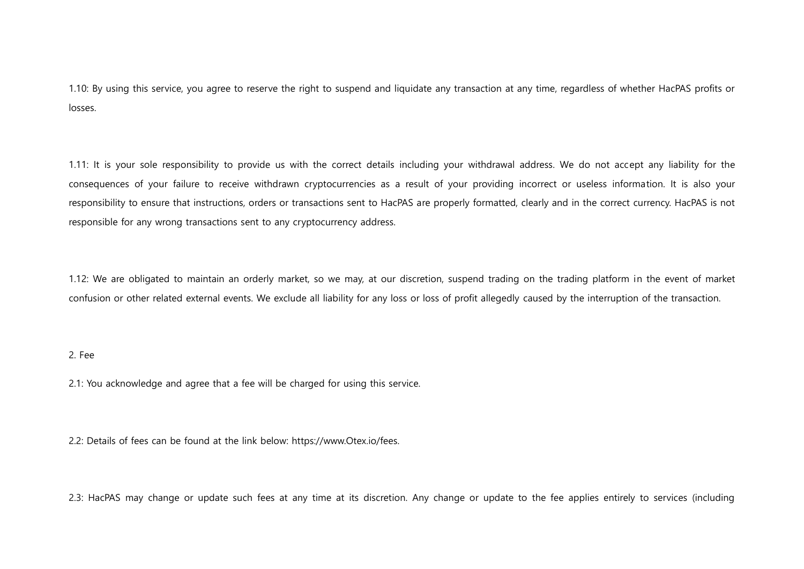1.10: By using this service, you agree to reserve the right to suspend and liquidate any transaction at any time, regardless of whether HacPAS profits or losses.

1.11: It is your sole responsibility to provide us with the correct details including your withdrawal address. We do not accept any liability for the consequences of your failure to receive withdrawn cryptocurrencies as a result of your providing incorrect or useless information. It is also your responsibility to ensure that instructions, orders or transactions sent to HacPAS are properly formatted, clearly and in the correct currency. HacPAS is not responsible for any wrong transactions sent to any cryptocurrency address.

1.12: We are obligated to maintain an orderly market, so we may, at our discretion, suspend trading on the trading platform in the event of market confusion or other related external events. We exclude all liability for any loss or loss of profit allegedly caused by the interruption of the transaction.

### 2. Fee

2.1: You acknowledge and agree that a fee will be charged for using this service.

2.2: Details of fees can be found at the link below: https://www.Otex.io/fees.

2.3: HacPAS may change or update such fees at any time at its discretion. Any change or update to the fee applies entirely to services (including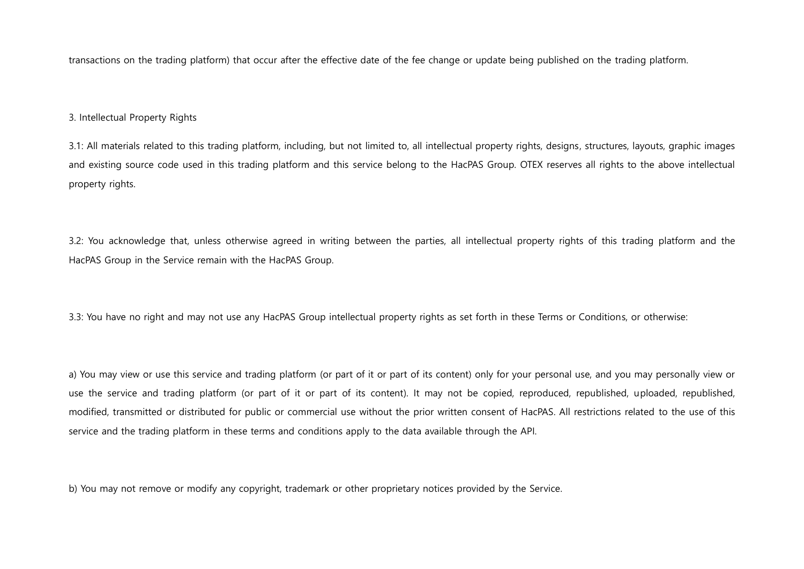transactions on the trading platform) that occur after the effective date of the fee change or update being published on the trading platform.

### 3. Intellectual Property Rights

3.1: All materials related to this trading platform, including, but not limited to, all intellectual property rights, designs, structures, layouts, graphic images and existing source code used in this trading platform and this service belong to the HacPAS Group. OTEX reserves all rights to the above intellectual property rights.

3.2: You acknowledge that, unless otherwise agreed in writing between the parties, all intellectual property rights of this trading platform and the HacPAS Group in the Service remain with the HacPAS Group.

3.3: You have no right and may not use any HacPAS Group intellectual property rights as set forth in these Terms or Conditions, or otherwise:

a) You may view or use this service and trading platform (or part of it or part of its content) only for your personal use, and you may personally view or use the service and trading platform (or part of it or part of its content). It may not be copied, reproduced, republished, uploaded, republished, modified, transmitted or distributed for public or commercial use without the prior written consent of HacPAS. All restrictions related to the use of this service and the trading platform in these terms and conditions apply to the data available through the API.

b) You may not remove or modify any copyright, trademark or other proprietary notices provided by the Service.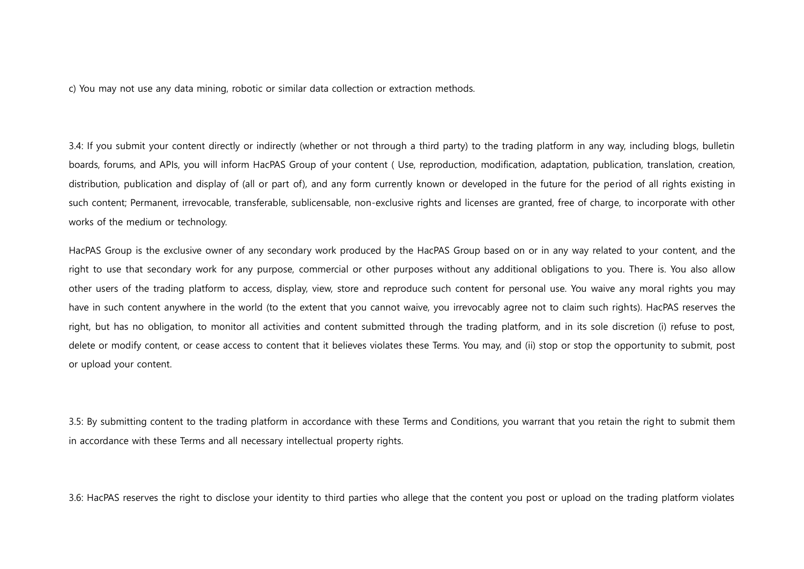c) You may not use any data mining, robotic or similar data collection or extraction methods.

3.4: If you submit your content directly or indirectly (whether or not through a third party) to the trading platform in any way, including blogs, bulletin boards, forums, and APIs, you will inform HacPAS Group of your content ( Use, reproduction, modification, adaptation, publication, translation, creation, distribution, publication and display of (all or part of), and any form currently known or developed in the future for the period of all rights existing in such content; Permanent, irrevocable, transferable, sublicensable, non-exclusive rights and licenses are granted, free of charge, to incorporate with other works of the medium or technology.

HacPAS Group is the exclusive owner of any secondary work produced by the HacPAS Group based on or in any way related to your content, and the right to use that secondary work for any purpose, commercial or other purposes without any additional obligations to you. There is. You also allow other users of the trading platform to access, display, view, store and reproduce such content for personal use. You waive any moral rights you may have in such content anywhere in the world (to the extent that you cannot waive, you irrevocably agree not to claim such rights). HacPAS reserves the right, but has no obligation, to monitor all activities and content submitted through the trading platform, and in its sole discretion (i) refuse to post, delete or modify content, or cease access to content that it believes violates these Terms. You may, and (ii) stop or stop the opportunity to submit, post or upload your content.

3.5: By submitting content to the trading platform in accordance with these Terms and Conditions, you warrant that you retain the right to submit them in accordance with these Terms and all necessary intellectual property rights.

3.6: HacPAS reserves the right to disclose your identity to third parties who allege that the content you post or upload on the trading platform violates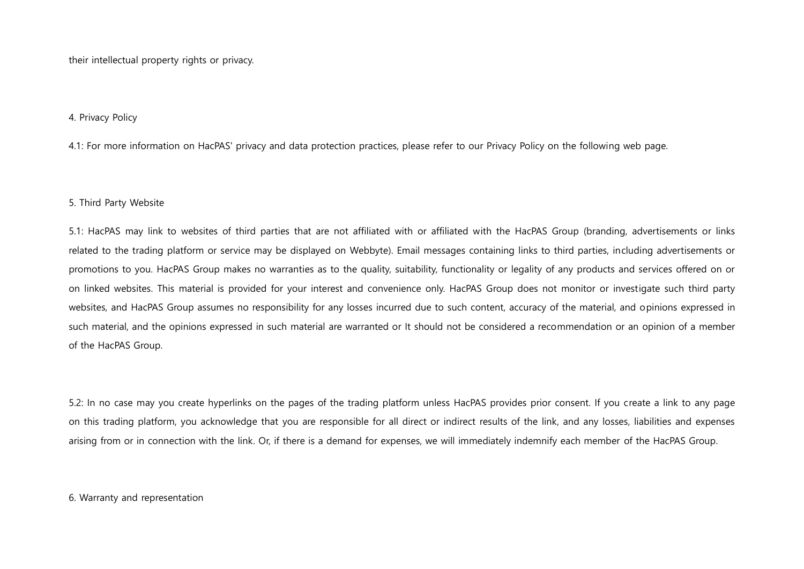their intellectual property rights or privacy.

### 4. Privacy Policy

4.1: For more information on HacPAS' privacy and data protection practices, please refer to our Privacy Policy on the following web page.

### 5. Third Party Website

5.1: HacPAS may link to websites of third parties that are not affiliated with or affiliated with the HacPAS Group (branding, advertisements or links related to the trading platform or service may be displayed on Webbyte). Email messages containing links to third parties, including advertisements or promotions to you. HacPAS Group makes no warranties as to the quality, suitability, functionality or legality of any products and services offered on or on linked websites. This material is provided for your interest and convenience only. HacPAS Group does not monitor or investigate such third party websites, and HacPAS Group assumes no responsibility for any losses incurred due to such content, accuracy of the material, and opinions expressed in such material, and the opinions expressed in such material are warranted or It should not be considered a recommendation or an opinion of a member of the HacPAS Group.

5.2: In no case may you create hyperlinks on the pages of the trading platform unless HacPAS provides prior consent. If you create a link to any page on this trading platform, you acknowledge that you are responsible for all direct or indirect results of the link, and any losses, liabilities and expenses arising from or in connection with the link. Or, if there is a demand for expenses, we will immediately indemnify each member of the HacPAS Group.

### 6. Warranty and representation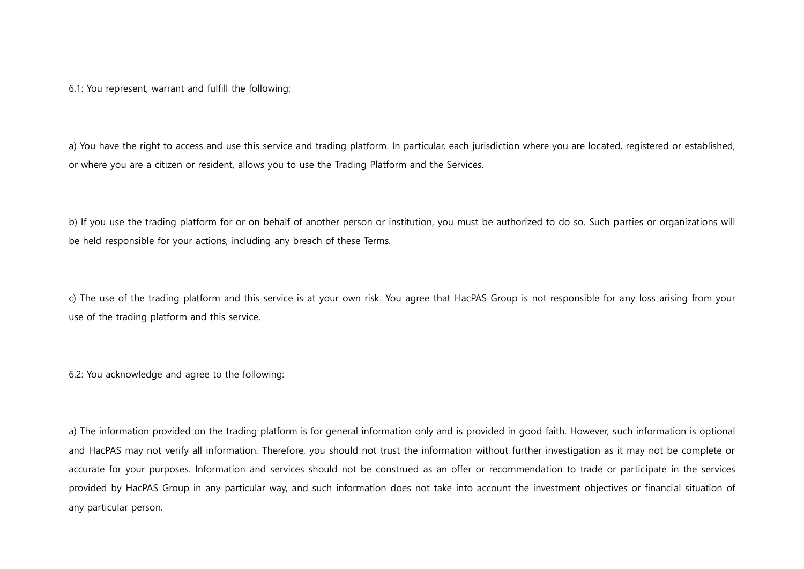6.1: You represent, warrant and fulfill the following:

a) You have the right to access and use this service and trading platform. In particular, each jurisdiction where you are located, registered or established, or where you are a citizen or resident, allows you to use the Trading Platform and the Services.

b) If you use the trading platform for or on behalf of another person or institution, you must be authorized to do so. Such parties or organizations will be held responsible for your actions, including any breach of these Terms.

c) The use of the trading platform and this service is at your own risk. You agree that HacPAS Group is not responsible for any loss arising from your use of the trading platform and this service.

6.2: You acknowledge and agree to the following:

a) The information provided on the trading platform is for general information only and is provided in good faith. However, such information is optional and HacPAS may not verify all information. Therefore, you should not trust the information without further investigation as it may not be complete or accurate for your purposes. Information and services should not be construed as an offer or recommendation to trade or participate in the services provided by HacPAS Group in any particular way, and such information does not take into account the investment objectives or financial situation of any particular person.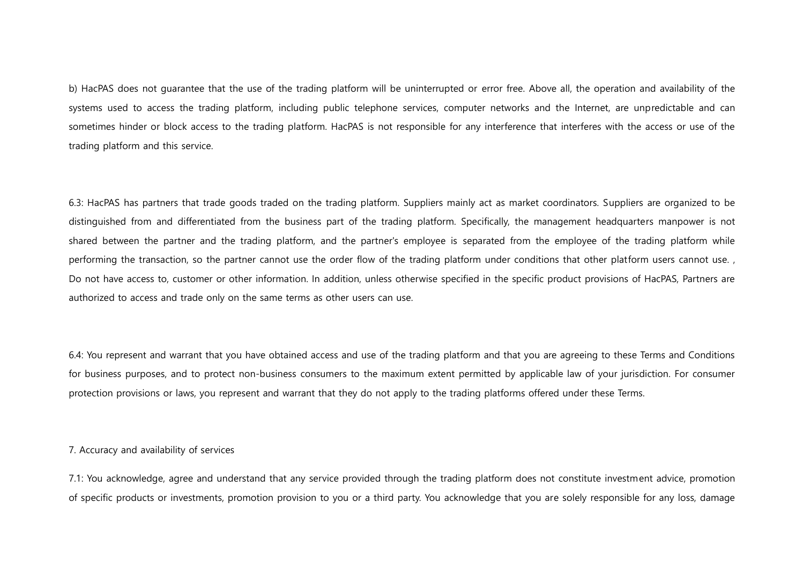b) HacPAS does not guarantee that the use of the trading platform will be uninterrupted or error free. Above all, the operation and availability of the systems used to access the trading platform, including public telephone services, computer networks and the Internet, are unpredictable and can sometimes hinder or block access to the trading platform. HacPAS is not responsible for any interference that interferes with the access or use of the trading platform and this service.

6.3: HacPAS has partners that trade goods traded on the trading platform. Suppliers mainly act as market coordinators. Suppliers are organized to be distinguished from and differentiated from the business part of the trading platform. Specifically, the management headquarters manpower is not shared between the partner and the trading platform, and the partner's employee is separated from the employee of the trading platform while performing the transaction, so the partner cannot use the order flow of the trading platform under conditions that other platform users cannot use. , Do not have access to, customer or other information. In addition, unless otherwise specified in the specific product provisions of HacPAS, Partners are authorized to access and trade only on the same terms as other users can use.

6.4: You represent and warrant that you have obtained access and use of the trading platform and that you are agreeing to these Terms and Conditions for business purposes, and to protect non-business consumers to the maximum extent permitted by applicable law of your jurisdiction. For consumer protection provisions or laws, you represent and warrant that they do not apply to the trading platforms offered under these Terms.

7. Accuracy and availability of services

7.1: You acknowledge, agree and understand that any service provided through the trading platform does not constitute investment advice, promotion of specific products or investments, promotion provision to you or a third party. You acknowledge that you are solely responsible for any loss, damage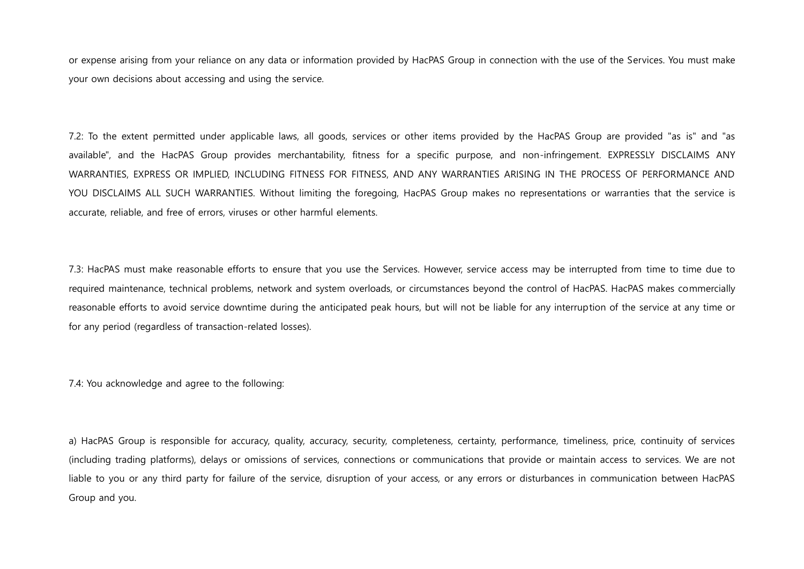or expense arising from your reliance on any data or information provided by HacPAS Group in connection with the use of the Services. You must make your own decisions about accessing and using the service.

7.2: To the extent permitted under applicable laws, all goods, services or other items provided by the HacPAS Group are provided "as is" and "as available", and the HacPAS Group provides merchantability, fitness for a specific purpose, and non-infringement. EXPRESSLY DISCLAIMS ANY WARRANTIES, EXPRESS OR IMPLIED, INCLUDING FITNESS FOR FITNESS, AND ANY WARRANTIES ARISING IN THE PROCESS OF PERFORMANCE AND YOU DISCLAIMS ALL SUCH WARRANTIES. Without limiting the foregoing, HacPAS Group makes no representations or warranties that the service is accurate, reliable, and free of errors, viruses or other harmful elements.

7.3: HacPAS must make reasonable efforts to ensure that you use the Services. However, service access may be interrupted from time to time due to required maintenance, technical problems, network and system overloads, or circumstances beyond the control of HacPAS. HacPAS makes commercially reasonable efforts to avoid service downtime during the anticipated peak hours, but will not be liable for any interruption of the service at any time or for any period (regardless of transaction-related losses).

7.4: You acknowledge and agree to the following:

a) HacPAS Group is responsible for accuracy, quality, accuracy, security, completeness, certainty, performance, timeliness, price, continuity of services (including trading platforms), delays or omissions of services, connections or communications that provide or maintain access to services. We are not liable to you or any third party for failure of the service, disruption of your access, or any errors or disturbances in communication between HacPAS Group and you.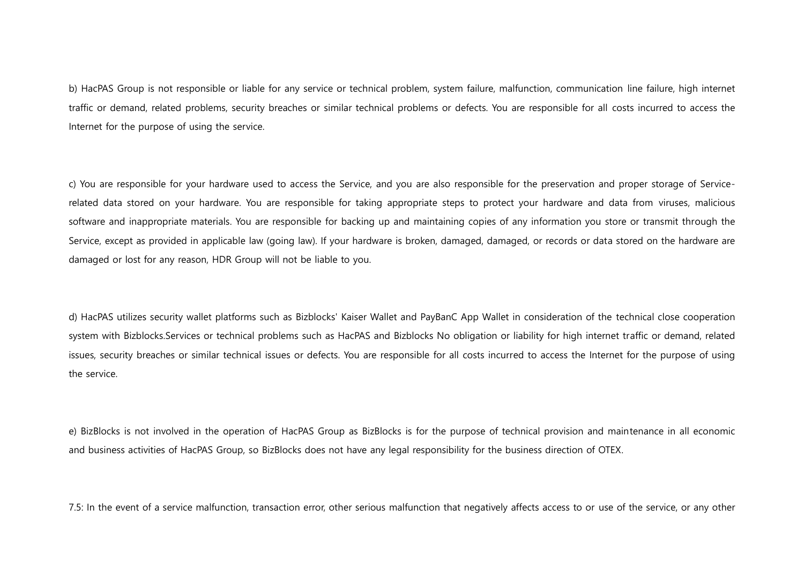b) HacPAS Group is not responsible or liable for any service or technical problem, system failure, malfunction, communication line failure, high internet traffic or demand, related problems, security breaches or similar technical problems or defects. You are responsible for all costs incurred to access the Internet for the purpose of using the service.

c) You are responsible for your hardware used to access the Service, and you are also responsible for the preservation and proper storage of Servicerelated data stored on your hardware. You are responsible for taking appropriate steps to protect your hardware and data from viruses, malicious software and inappropriate materials. You are responsible for backing up and maintaining copies of any information you store or transmit through the Service, except as provided in applicable law (going law). If your hardware is broken, damaged, damaged, or records or data stored on the hardware are damaged or lost for any reason, HDR Group will not be liable to you.

d) HacPAS utilizes security wallet platforms such as Bizblocks' Kaiser Wallet and PayBanC App Wallet in consideration of the technical close cooperation system with Bizblocks.Services or technical problems such as HacPAS and Bizblocks No obligation or liability for high internet traffic or demand, related issues, security breaches or similar technical issues or defects. You are responsible for all costs incurred to access the Internet for the purpose of using the service.

e) BizBlocks is not involved in the operation of HacPAS Group as BizBlocks is for the purpose of technical provision and maintenance in all economic and business activities of HacPAS Group, so BizBlocks does not have any legal responsibility for the business direction of OTEX.

7.5: In the event of a service malfunction, transaction error, other serious malfunction that negatively affects access to or use of the service, or any other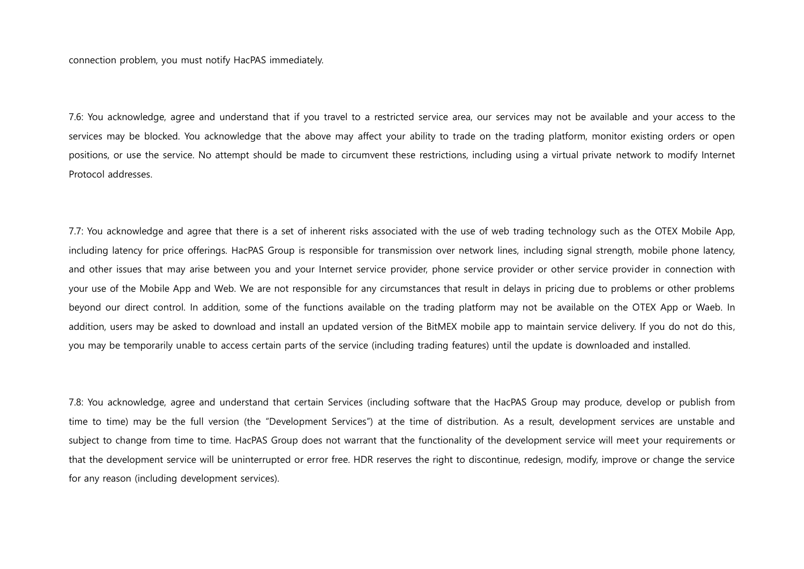connection problem, you must notify HacPAS immediately.

7.6: You acknowledge, agree and understand that if you travel to a restricted service area, our services may not be available and your access to the services may be blocked. You acknowledge that the above may affect your ability to trade on the trading platform, monitor existing orders or open positions, or use the service. No attempt should be made to circumvent these restrictions, including using a virtual private network to modify Internet Protocol addresses.

7.7: You acknowledge and agree that there is a set of inherent risks associated with the use of web trading technology such as the OTEX Mobile App, including latency for price offerings. HacPAS Group is responsible for transmission over network lines, including signal strength, mobile phone latency, and other issues that may arise between you and your Internet service provider, phone service provider or other service provider in connection with your use of the Mobile App and Web. We are not responsible for any circumstances that result in delays in pricing due to problems or other problems beyond our direct control. In addition, some of the functions available on the trading platform may not be available on the OTEX App or Waeb. In addition, users may be asked to download and install an updated version of the BitMEX mobile app to maintain service delivery. If you do not do this, you may be temporarily unable to access certain parts of the service (including trading features) until the update is downloaded and installed.

7.8: You acknowledge, agree and understand that certain Services (including software that the HacPAS Group may produce, develop or publish from time to time) may be the full version (the "Development Services") at the time of distribution. As a result, development services are unstable and subject to change from time to time. HacPAS Group does not warrant that the functionality of the development service will meet your requirements or that the development service will be uninterrupted or error free. HDR reserves the right to discontinue, redesign, modify, improve or change the service for any reason (including development services).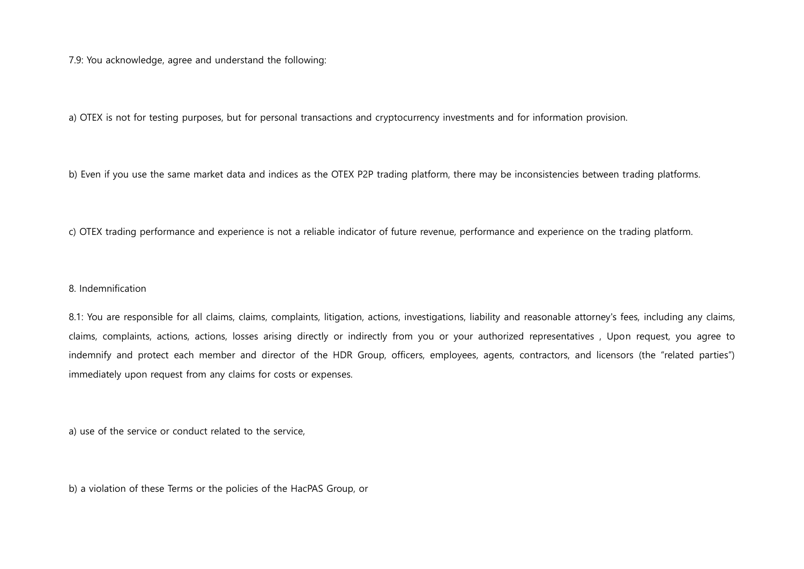7.9: You acknowledge, agree and understand the following:

a) OTEX is not for testing purposes, but for personal transactions and cryptocurrency investments and for information provision.

b) Even if you use the same market data and indices as the OTEX P2P trading platform, there may be inconsistencies between trading platforms.

c) OTEX trading performance and experience is not a reliable indicator of future revenue, performance and experience on the trading platform.

## 8. Indemnification

8.1: You are responsible for all claims, claims, complaints, litigation, actions, investigations, liability and reasonable attorney's fees, including any claims, claims, complaints, actions, actions, losses arising directly or indirectly from you or your authorized representatives , Upon request, you agree to indemnify and protect each member and director of the HDR Group, officers, employees, agents, contractors, and licensors (the "related parties") immediately upon request from any claims for costs or expenses.

a) use of the service or conduct related to the service,

b) a violation of these Terms or the policies of the HacPAS Group, or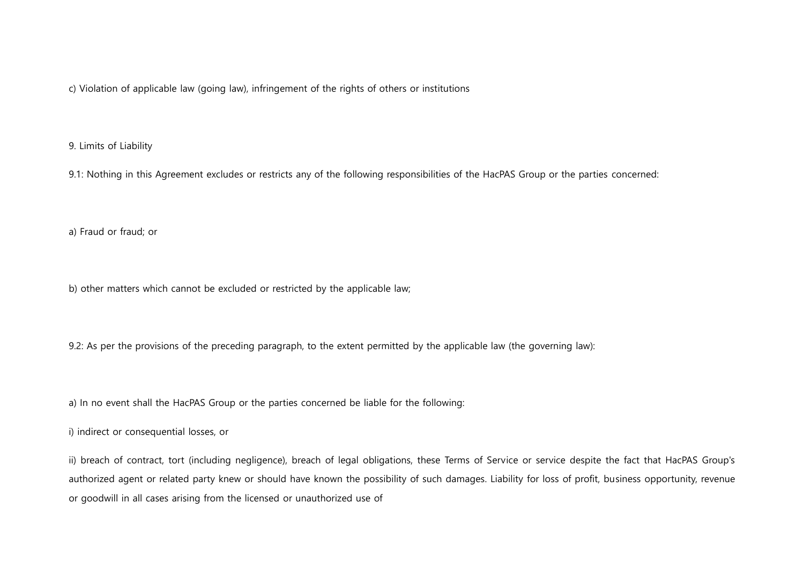c) Violation of applicable law (going law), infringement of the rights of others or institutions

9. Limits of Liability

9.1: Nothing in this Agreement excludes or restricts any of the following responsibilities of the HacPAS Group or the parties concerned:

a) Fraud or fraud; or

b) other matters which cannot be excluded or restricted by the applicable law;

9.2: As per the provisions of the preceding paragraph, to the extent permitted by the applicable law (the governing law):

a) In no event shall the HacPAS Group or the parties concerned be liable for the following:

i) indirect or consequential losses, or

ii) breach of contract, tort (including negligence), breach of legal obligations, these Terms of Service or service despite the fact that HacPAS Group's authorized agent or related party knew or should have known the possibility of such damages. Liability for loss of profit, business opportunity, revenue or goodwill in all cases arising from the licensed or unauthorized use of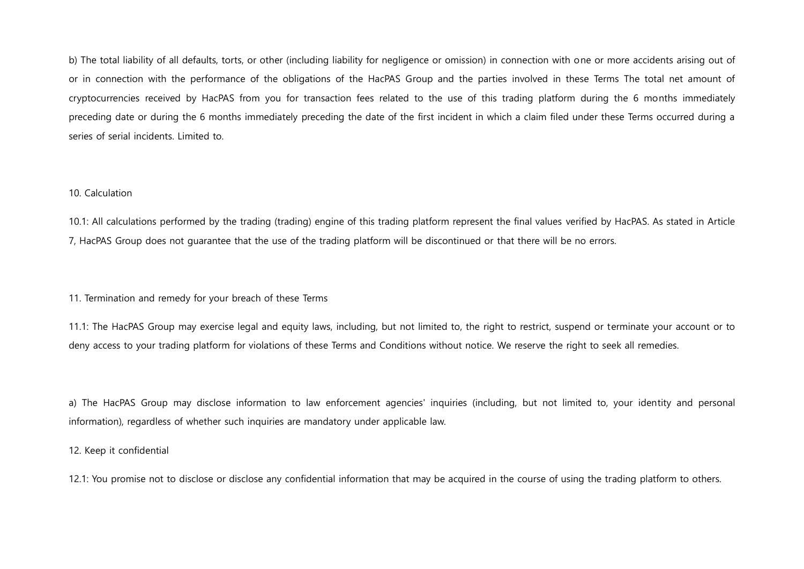b) The total liability of all defaults, torts, or other (including liability for negligence or omission) in connection with one or more accidents arising out of or in connection with the performance of the obligations of the HacPAS Group and the parties involved in these Terms The total net amount of cryptocurrencies received by HacPAS from you for transaction fees related to the use of this trading platform during the 6 months immediately preceding date or during the 6 months immediately preceding the date of the first incident in which a claim filed under these Terms occurred during a series of serial incidents. Limited to.

## 10. Calculation

10.1: All calculations performed by the trading (trading) engine of this trading platform represent the final values verified by HacPAS. As stated in Article 7, HacPAS Group does not guarantee that the use of the trading platform will be discontinued or that there will be no errors.

## 11. Termination and remedy for your breach of these Terms

11.1: The HacPAS Group may exercise legal and equity laws, including, but not limited to, the right to restrict, suspend or terminate your account or to deny access to your trading platform for violations of these Terms and Conditions without notice. We reserve the right to seek all remedies.

a) The HacPAS Group may disclose information to law enforcement agencies' inquiries (including, but not limited to, your identity and personal information), regardless of whether such inquiries are mandatory under applicable law.

## 12. Keep it confidential

12.1: You promise not to disclose or disclose any confidential information that may be acquired in the course of using the trading platform to others.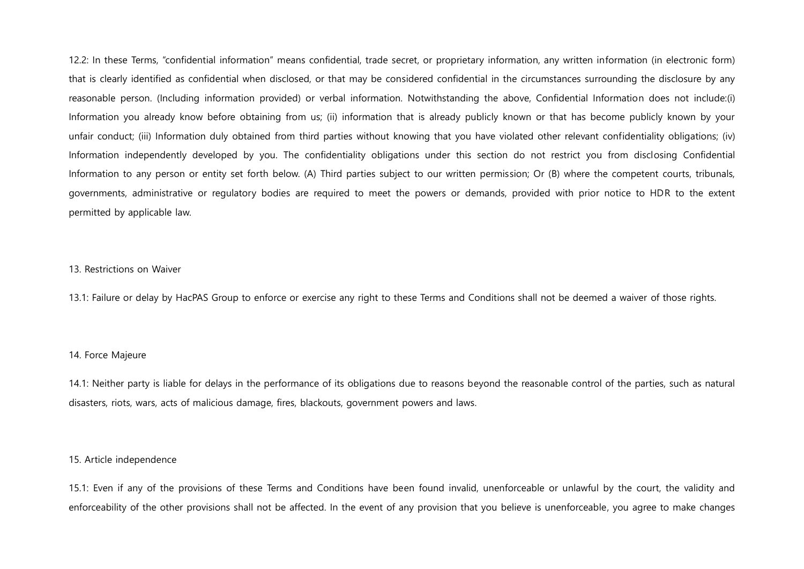12.2: In these Terms, "confidential information" means confidential, trade secret, or proprietary information, any written information (in electronic form) that is clearly identified as confidential when disclosed, or that may be considered confidential in the circumstances surrounding the disclosure by any reasonable person. (Including information provided) or verbal information. Notwithstanding the above, Confidential Information does not include:(i) Information you already know before obtaining from us; (ii) information that is already publicly known or that has become publicly known by your unfair conduct; (iii) Information duly obtained from third parties without knowing that you have violated other relevant confidentiality obligations; (iv) Information independently developed by you. The confidentiality obligations under this section do not restrict you from disclosing Confidential Information to any person or entity set forth below. (A) Third parties subject to our written permission; Or (B) where the competent courts, tribunals, governments, administrative or regulatory bodies are required to meet the powers or demands, provided with prior notice to HDR to the extent permitted by applicable law.

### 13. Restrictions on Waiver

13.1: Failure or delay by HacPAS Group to enforce or exercise any right to these Terms and Conditions shall not be deemed a waiver of those rights.

### 14. Force Majeure

14.1: Neither party is liable for delays in the performance of its obligations due to reasons beyond the reasonable control of the parties, such as natural disasters, riots, wars, acts of malicious damage, fires, blackouts, government powers and laws.

## 15. Article independence

15.1: Even if any of the provisions of these Terms and Conditions have been found invalid, unenforceable or unlawful by the court, the validity and enforceability of the other provisions shall not be affected. In the event of any provision that you believe is unenforceable, you agree to make changes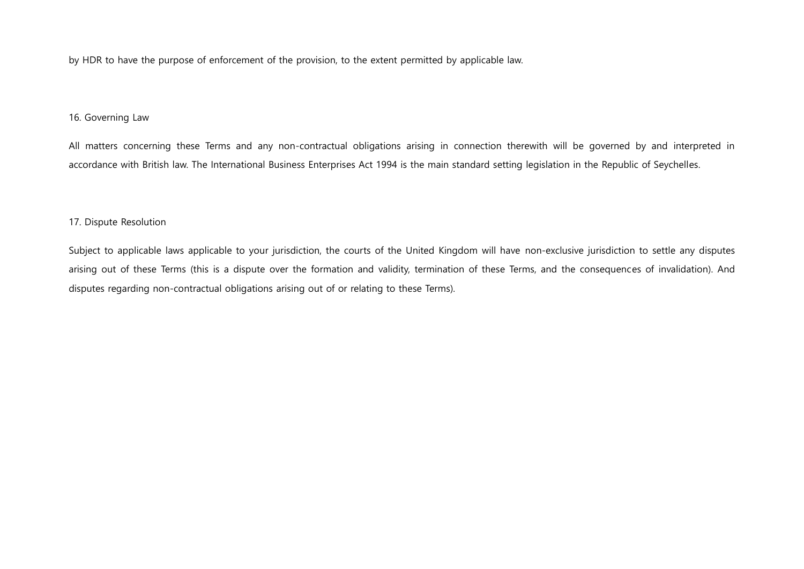by HDR to have the purpose of enforcement of the provision, to the extent permitted by applicable law.

## 16. Governing Law

All matters concerning these Terms and any non-contractual obligations arising in connection therewith will be governed by and interpreted in accordance with British law. The International Business Enterprises Act 1994 is the main standard setting legislation in the Republic of Seychelles.

## 17. Dispute Resolution

Subject to applicable laws applicable to your jurisdiction, the courts of the United Kingdom will have non-exclusive jurisdiction to settle any disputes arising out of these Terms (this is a dispute over the formation and validity, termination of these Terms, and the consequences of invalidation). And disputes regarding non-contractual obligations arising out of or relating to these Terms).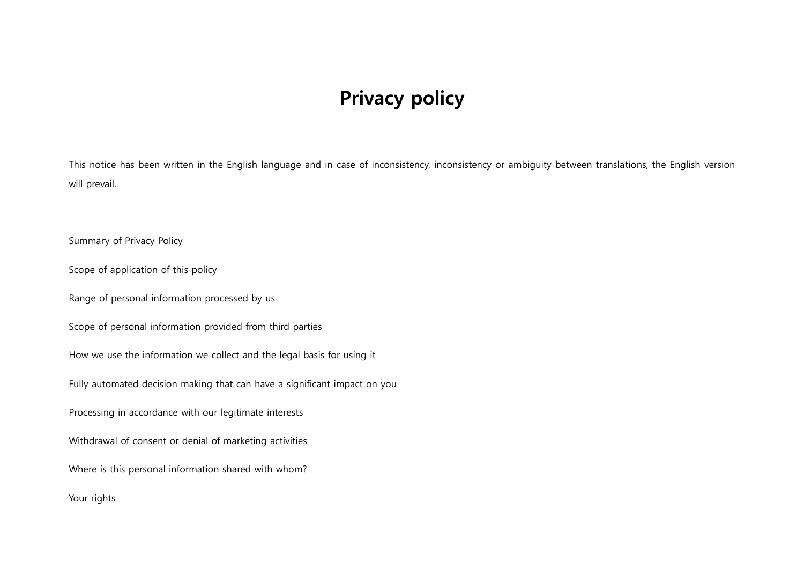# Privacy policy

This notice has been written in the English language and in case of inconsistency, inconsistency or ambiguity between translations, the English version will prevail.

Summary of Privacy Policy

Scope of application of this policy

Range of personal information processed by us

Scope of personal information provided from third parties

How we use the information we collect and the legal basis for using it

Fully automated decision making that can have a significant impact on you

Processing in accordance with our legitimate interests

Withdrawal of consent or denial of marketing activities

Where is this personal information shared with whom?

Your rights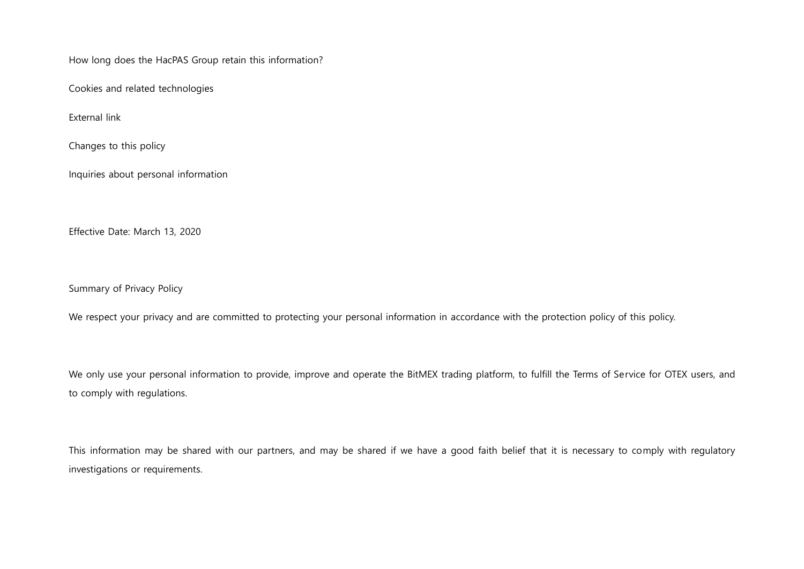How long does the HacPAS Group retain this information?

Cookies and related technologies

External link

Changes to this policy

Inquiries about personal information

Effective Date: March 13, 2020

Summary of Privacy Policy

We respect your privacy and are committed to protecting your personal information in accordance with the protection policy of this policy.

We only use your personal information to provide, improve and operate the BitMEX trading platform, to fulfill the Terms of Service for OTEX users, and to comply with regulations.

This information may be shared with our partners, and may be shared if we have a good faith belief that it is necessary to comply with regulatory investigations or requirements.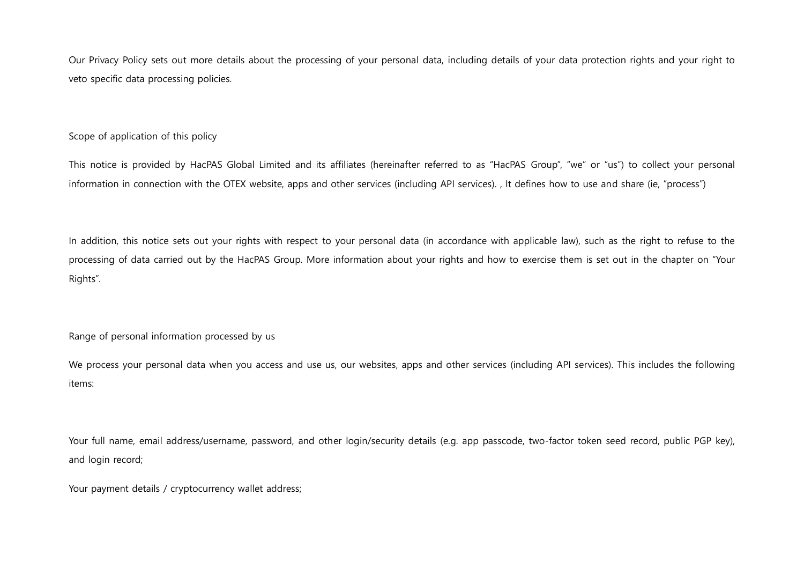Our Privacy Policy sets out more details about the processing of your personal data, including details of your data protection rights and your right to veto specific data processing policies.

## Scope of application of this policy

This notice is provided by HacPAS Global Limited and its affiliates (hereinafter referred to as "HacPAS Group", "we" or "us") to collect your personal information in connection with the OTEX website, apps and other services (including API services). , It defines how to use and share (ie, "process")

In addition, this notice sets out your rights with respect to your personal data (in accordance with applicable law), such as the right to refuse to the processing of data carried out by the HacPAS Group. More information about your rights and how to exercise them is set out in the chapter on "Your Rights".

Range of personal information processed by us

We process your personal data when you access and use us, our websites, apps and other services (including API services). This includes the following items:

Your full name, email address/username, password, and other login/security details (e.g. app passcode, two-factor token seed record, public PGP key), and login record;

Your payment details / cryptocurrency wallet address;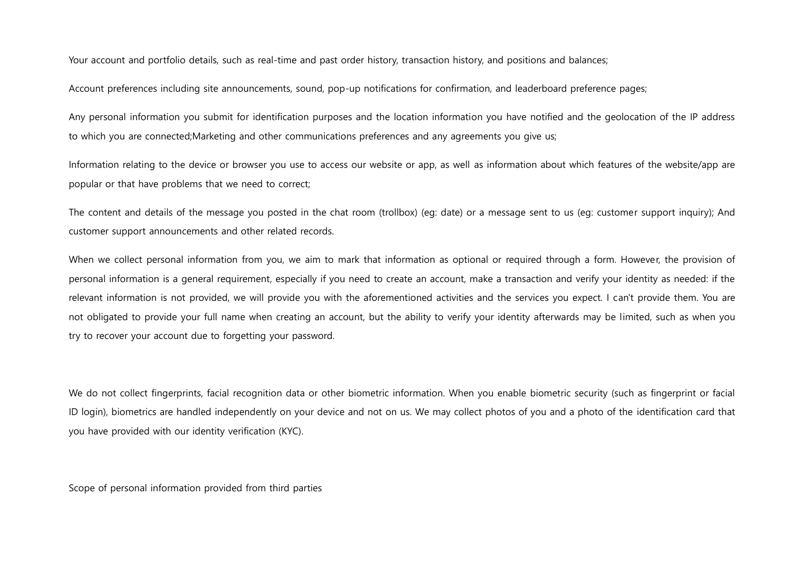Your account and portfolio details, such as real-time and past order history, transaction history, and positions and balances;

Account preferences including site announcements, sound, pop-up notifications for confirmation, and leaderboard preference pages;

Any personal information you submit for identification purposes and the location information you have notified and the geolocation of the IP address to which you are connected;Marketing and other communications preferences and any agreements you give us;

Information relating to the device or browser you use to access our website or app, as well as information about which features of the website/app are popular or that have problems that we need to correct;

The content and details of the message you posted in the chat room (trollbox) (eg: date) or a message sent to us (eg: customer support inquiry); And customer support announcements and other related records.

When we collect personal information from you, we aim to mark that information as optional or required through a form. However, the provision of personal information is a general requirement, especially if you need to create an account, make a transaction and verify your identity as needed: if the relevant information is not provided, we will provide you with the aforementioned activities and the services you expect. I can't provide them. You are not obligated to provide your full name when creating an account, but the ability to verify your identity afterwards may be limited, such as when you try to recover your account due to forgetting your password.

We do not collect fingerprints, facial recognition data or other biometric information. When you enable biometric security (such as fingerprint or facial ID login), biometrics are handled independently on your device and not on us. We may collect photos of you and a photo of the identification card that you have provided with our identity verification (KYC).

Scope of personal information provided from third parties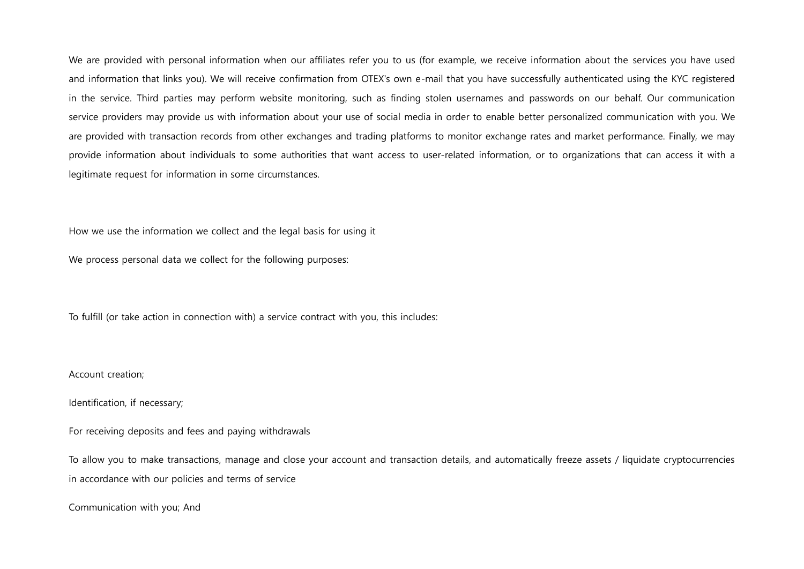We are provided with personal information when our affiliates refer you to us (for example, we receive information about the services you have used and information that links you). We will receive confirmation from OTEX's own e-mail that you have successfully authenticated using the KYC registered in the service. Third parties may perform website monitoring, such as finding stolen usernames and passwords on our behalf. Our communication service providers may provide us with information about your use of social media in order to enable better personalized communication with you. We are provided with transaction records from other exchanges and trading platforms to monitor exchange rates and market performance. Finally, we may provide information about individuals to some authorities that want access to user-related information, or to organizations that can access it with a legitimate request for information in some circumstances.

How we use the information we collect and the legal basis for using it

We process personal data we collect for the following purposes:

To fulfill (or take action in connection with) a service contract with you, this includes:

#### Account creation;

Identification, if necessary;

For receiving deposits and fees and paying withdrawals

To allow you to make transactions, manage and close your account and transaction details, and automatically freeze assets / liquidate cryptocurrencies in accordance with our policies and terms of service

Communication with you; And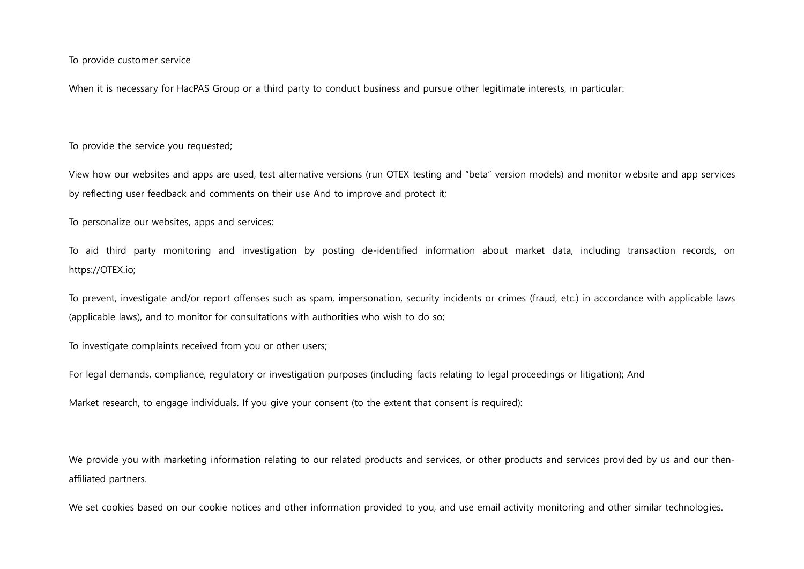To provide customer service

When it is necessary for HacPAS Group or a third party to conduct business and pursue other legitimate interests, in particular:

To provide the service you requested;

View how our websites and apps are used, test alternative versions (run OTEX testing and "beta" version models) and monitor website and app services by reflecting user feedback and comments on their use And to improve and protect it;

To personalize our websites, apps and services;

To aid third party monitoring and investigation by posting de-identified information about market data, including transaction records, on https://OTEX.io;

To prevent, investigate and/or report offenses such as spam, impersonation, security incidents or crimes (fraud, etc.) in accordance with applicable laws (applicable laws), and to monitor for consultations with authorities who wish to do so;

To investigate complaints received from you or other users;

For legal demands, compliance, regulatory or investigation purposes (including facts relating to legal proceedings or litigation); And

Market research, to engage individuals. If you give your consent (to the extent that consent is required):

We provide you with marketing information relating to our related products and services, or other products and services provided by us and our thenaffiliated partners.

We set cookies based on our cookie notices and other information provided to you, and use email activity monitoring and other similar technologies.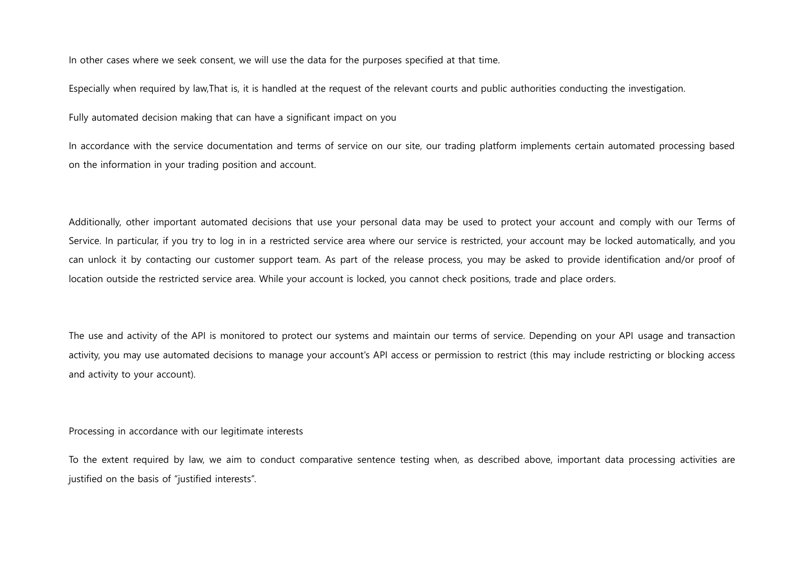In other cases where we seek consent, we will use the data for the purposes specified at that time.

Especially when required by law,That is, it is handled at the request of the relevant courts and public authorities conducting the investigation.

Fully automated decision making that can have a significant impact on you

In accordance with the service documentation and terms of service on our site, our trading platform implements certain automated processing based on the information in your trading position and account.

Additionally, other important automated decisions that use your personal data may be used to protect your account and comply with our Terms of Service. In particular, if you try to log in in a restricted service area where our service is restricted, your account may be locked automatically, and you can unlock it by contacting our customer support team. As part of the release process, you may be asked to provide identification and/or proof of location outside the restricted service area. While your account is locked, you cannot check positions, trade and place orders.

The use and activity of the API is monitored to protect our systems and maintain our terms of service. Depending on your API usage and transaction activity, you may use automated decisions to manage your account's API access or permission to restrict (this may include restricting or blocking access and activity to your account).

Processing in accordance with our legitimate interests

To the extent required by law, we aim to conduct comparative sentence testing when, as described above, important data processing activities are justified on the basis of "justified interests".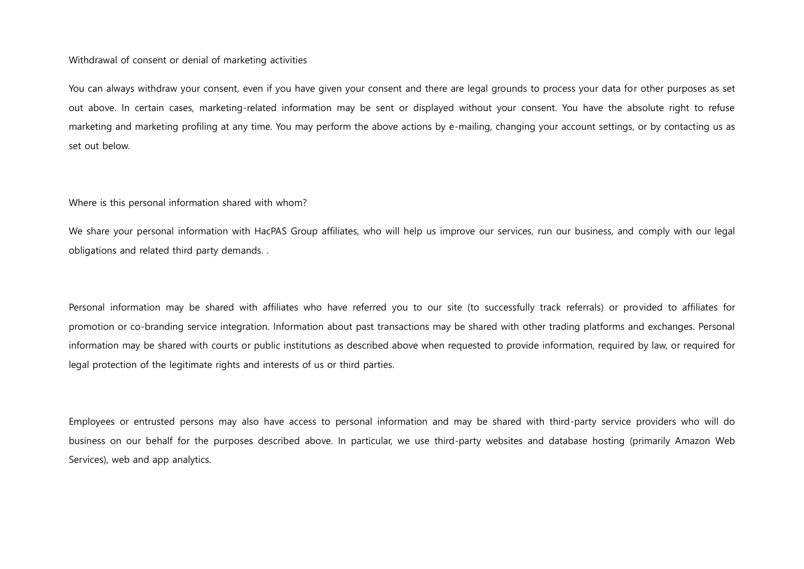### Withdrawal of consent or denial of marketing activities

You can always withdraw your consent, even if you have given your consent and there are legal grounds to process your data for other purposes as set out above. In certain cases, marketing-related information may be sent or displayed without your consent. You have the absolute right to refuse marketing and marketing profiling at any time. You may perform the above actions by e-mailing, changing your account settings, or by contacting us as set out below.

### Where is this personal information shared with whom?

We share your personal information with HacPAS Group affiliates, who will help us improve our services, run our business, and comply with our legal obligations and related third party demands. .

Personal information may be shared with affiliates who have referred you to our site (to successfully track referrals) or provided to affiliates for promotion or co-branding service integration. Information about past transactions may be shared with other trading platforms and exchanges. Personal information may be shared with courts or public institutions as described above when requested to provide information, required by law, or required for legal protection of the legitimate rights and interests of us or third parties.

Employees or entrusted persons may also have access to personal information and may be shared with third-party service providers who will do business on our behalf for the purposes described above. In particular, we use third-party websites and database hosting (primarily Amazon Web Services), web and app analytics.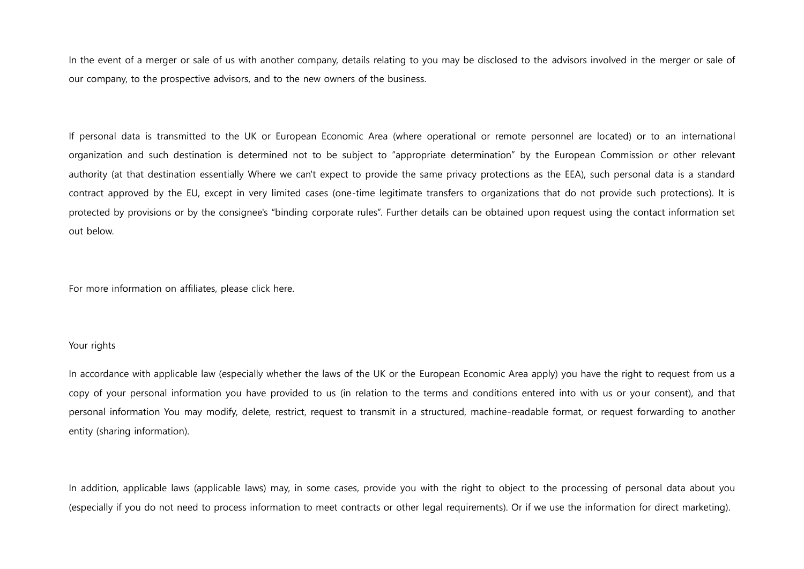In the event of a merger or sale of us with another company, details relating to you may be disclosed to the advisors involved in the merger or sale of our company, to the prospective advisors, and to the new owners of the business.

If personal data is transmitted to the UK or European Economic Area (where operational or remote personnel are located) or to an international organization and such destination is determined not to be subject to "appropriate determination" by the European Commission or other relevant authority (at that destination essentially Where we can't expect to provide the same privacy protections as the EEA), such personal data is a standard contract approved by the EU, except in very limited cases (one-time legitimate transfers to organizations that do not provide such protections). It is protected by provisions or by the consignee's "binding corporate rules". Further details can be obtained upon request using the contact information set out below.

For more information on affiliates, please click here.

## Your rights

In accordance with applicable law (especially whether the laws of the UK or the European Economic Area apply) you have the right to request from us a copy of your personal information you have provided to us (in relation to the terms and conditions entered into with us or your consent), and that personal information You may modify, delete, restrict, request to transmit in a structured, machine-readable format, or request forwarding to another entity (sharing information).

In addition, applicable laws (applicable laws) may, in some cases, provide you with the right to object to the processing of personal data about you (especially if you do not need to process information to meet contracts or other legal requirements). Or if we use the information for direct marketing).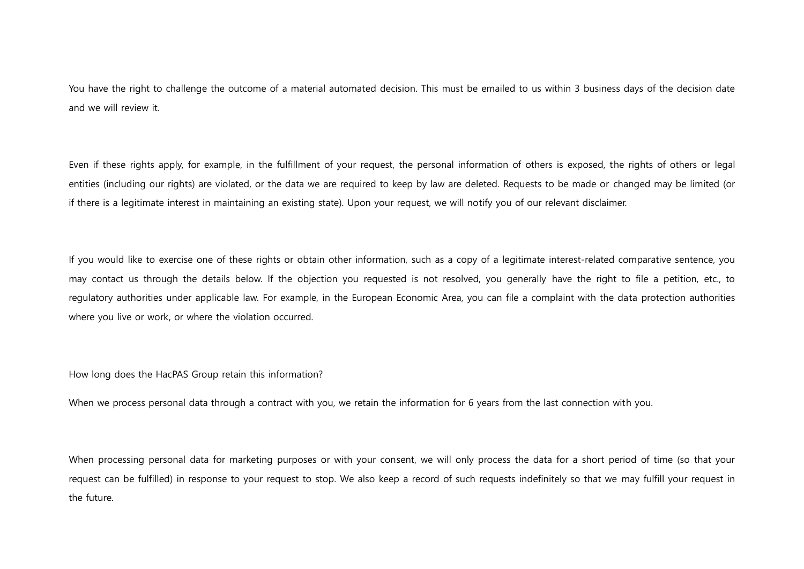You have the right to challenge the outcome of a material automated decision. This must be emailed to us within 3 business days of the decision date and we will review it.

Even if these rights apply, for example, in the fulfillment of your request, the personal information of others is exposed, the rights of others or legal entities (including our rights) are violated, or the data we are required to keep by law are deleted. Requests to be made or changed may be limited (or if there is a legitimate interest in maintaining an existing state). Upon your request, we will notify you of our relevant disclaimer.

If you would like to exercise one of these rights or obtain other information, such as a copy of a legitimate interest-related comparative sentence, you may contact us through the details below. If the objection you requested is not resolved, you generally have the right to file a petition, etc., to regulatory authorities under applicable law. For example, in the European Economic Area, you can file a complaint with the data protection authorities where you live or work, or where the violation occurred.

How long does the HacPAS Group retain this information?

When we process personal data through a contract with you, we retain the information for 6 years from the last connection with you.

When processing personal data for marketing purposes or with your consent, we will only process the data for a short period of time (so that your request can be fulfilled) in response to your request to stop. We also keep a record of such requests indefinitely so that we may fulfill your request in the future.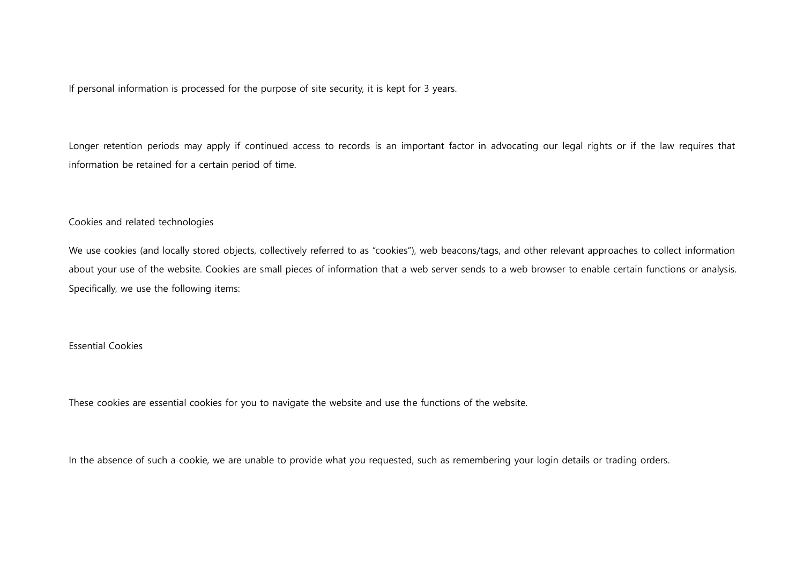If personal information is processed for the purpose of site security, it is kept for 3 years.

Longer retention periods may apply if continued access to records is an important factor in advocating our legal rights or if the law requires that information be retained for a certain period of time.

### Cookies and related technologies

We use cookies (and locally stored objects, collectively referred to as "cookies"), web beacons/tags, and other relevant approaches to collect information about your use of the website. Cookies are small pieces of information that a web server sends to a web browser to enable certain functions or analysis. Specifically, we use the following items:

## Essential Cookies

These cookies are essential cookies for you to navigate the website and use the functions of the website.

In the absence of such a cookie, we are unable to provide what you requested, such as remembering your login details or trading orders.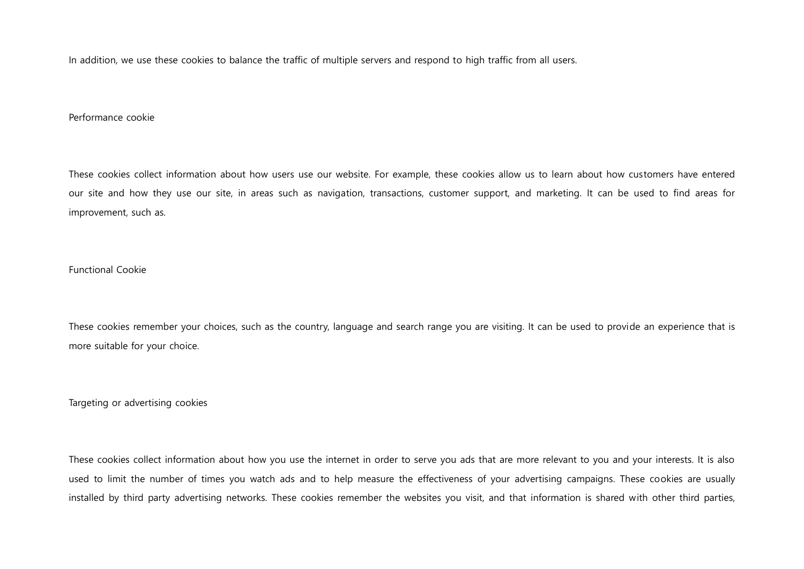In addition, we use these cookies to balance the traffic of multiple servers and respond to high traffic from all users.

## Performance cookie

These cookies collect information about how users use our website. For example, these cookies allow us to learn about how customers have entered our site and how they use our site, in areas such as navigation, transactions, customer support, and marketing. It can be used to find areas for improvement, such as.

## Functional Cookie

These cookies remember your choices, such as the country, language and search range you are visiting. It can be used to provide an experience that is more suitable for your choice.

Targeting or advertising cookies

These cookies collect information about how you use the internet in order to serve you ads that are more relevant to you and your interests. It is also used to limit the number of times you watch ads and to help measure the effectiveness of your advertising campaigns. These cookies are usually installed by third party advertising networks. These cookies remember the websites you visit, and that information is shared with other third parties,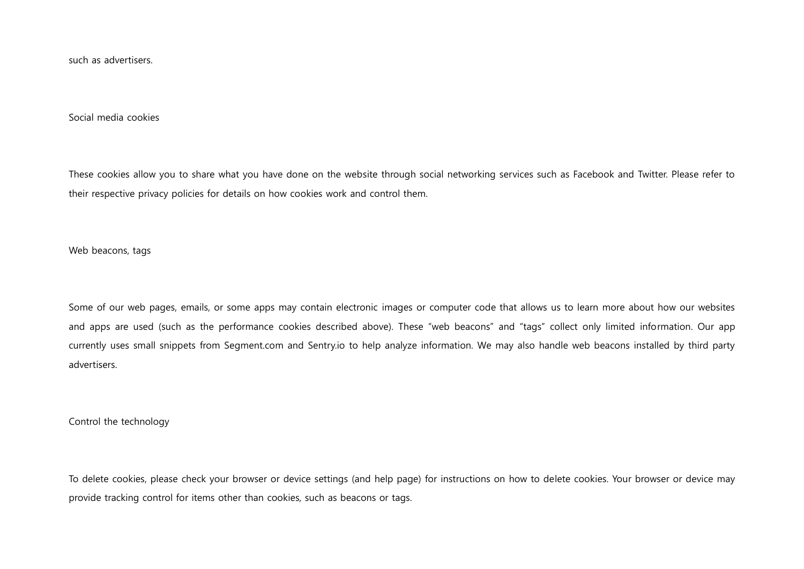such as advertisers.

Social media cookies

These cookies allow you to share what you have done on the website through social networking services such as Facebook and Twitter. Please refer to their respective privacy policies for details on how cookies work and control them.

Web beacons, tags

Some of our web pages, emails, or some apps may contain electronic images or computer code that allows us to learn more about how our websites and apps are used (such as the performance cookies described above). These "web beacons" and "tags" collect only limited information. Our app currently uses small snippets from Segment.com and Sentry.io to help analyze information. We may also handle web beacons installed by third party advertisers.

Control the technology

To delete cookies, please check your browser or device settings (and help page) for instructions on how to delete cookies. Your browser or device may provide tracking control for items other than cookies, such as beacons or tags.